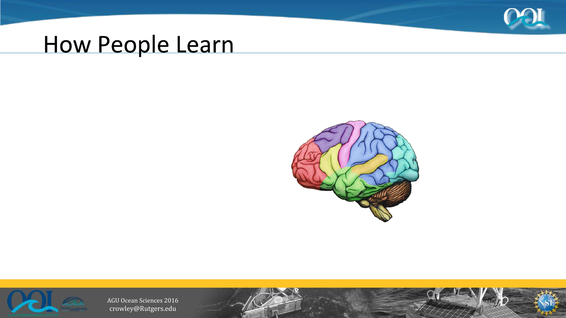

### How People Learn



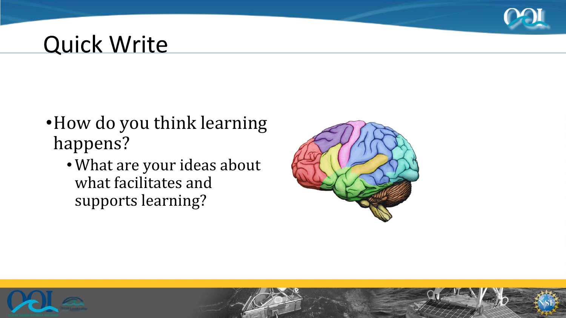

#### **Quick Write**

- •How do you think learning happens?
	- •What are your ideas about what facilitates and supports learning?



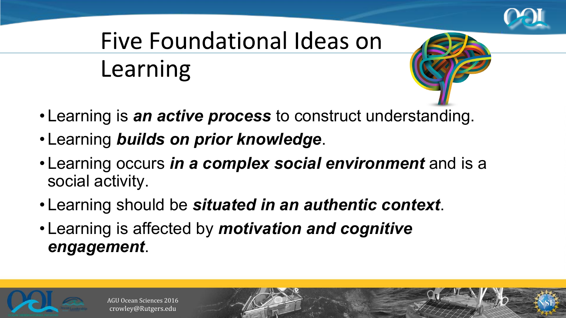

# Five Foundational Ideas on Learning



- Learning is *an active process* to construct understanding.
- Learning *builds on prior knowledge*.
- Learning occurs *in a complex social environment* and is a social activity.
- Learning should be *situated in an authentic context*.
- Learning is affected by *motivation and cognitive engagement*.

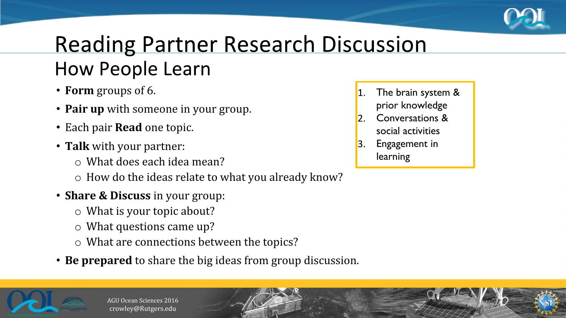

### **Reading Partner Research Discussion How People Learn**

- **Form** groups of 6.
- **Pair up** with someone in your group.
- Each pair **Read** one topic.
- **Talk** with your partner:
	- o What does each idea mean?
	- o How do the ideas relate to what you already know?
- **Share & Discuss** in your group:
	- o What is your topic about?
	- o What questions came up?
	- o What are connections between the topics?
- **Be prepared** to share the big ideas from group discussion.



- The brain system &
- prior knowledge Conversations &
- $\overline{2}$ social activities
- Engagement in  $|3.$ learning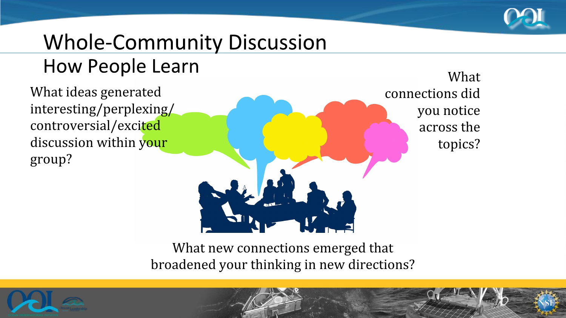

# **Whole-Community Discussion**

#### **How People Learn**

What ideas generated interesting/perplexing/ controversial/excited discussion within your group?

What connections did you notice across the topics?

What new connections emerged that broadened your thinking in new directions?

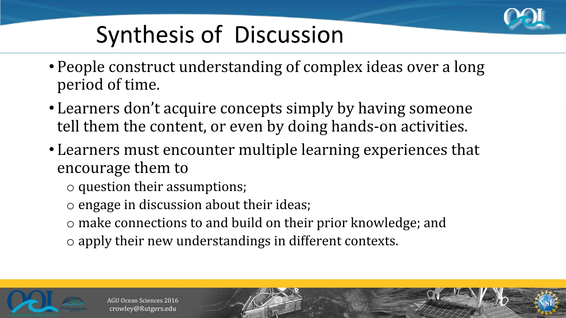

## **Synthesis of Discussion**

- People construct understanding of complex ideas over a long period of time.
- Learners don't acquire concepts simply by having someone tell them the content, or even by doing hands-on activities.
- Learners must encounter multiple learning experiences that encourage them to
	- o question their assumptions;
	- o engage in discussion about their ideas;
	- o make connections to and build on their prior knowledge; and
	- o apply their new understandings in different contexts.

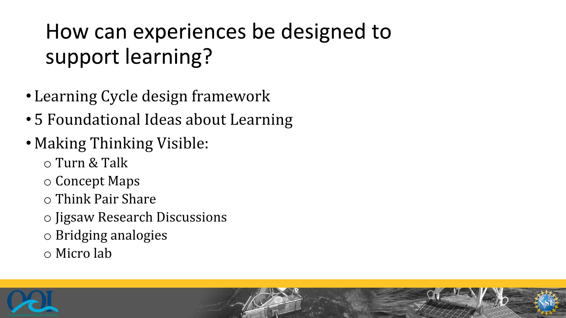### How can experiences be designed to support learning?

- Learning Cycle design framework
- 5 Foundational Ideas about Learning
- Making Thinking Visible:
	- o Turn & Talk
	- o Concept Maps
	- o Think Pair Share
	- o Jigsaw Research Discussions
	- o Bridging analogies
	- o Micro lab

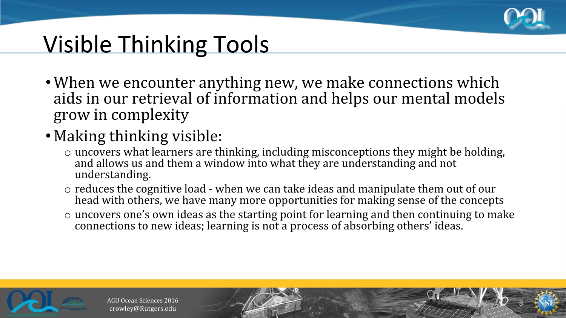

8

## **Visible Thinking Tools**

- When we encounter anything new, we make connections which aids in our retrieval of information and helps our mental models grow in complexity
- Making thinking visible:
	- o uncovers what learners are thinking, including misconceptions they might be holding, and allows us and them a window into what they are understanding and not understanding.
	- o reduces the cognitive load when we can take ideas and manipulate them out of our head with others, we have many more opportunities for making sense of the concepts
	- o uncovers one's own ideas as the starting point for learning and then continuing to make connections to new ideas; learning is not a process of absorbing others' ideas.

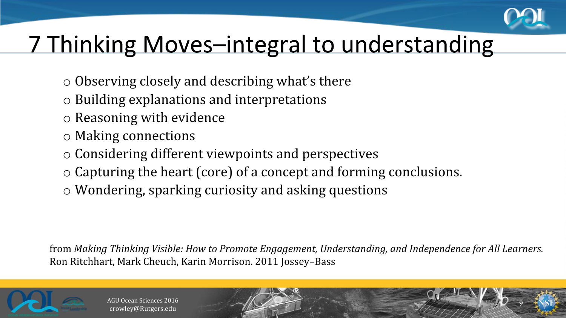

9

## 7 Thinking Moves-integral to understanding

- o Observing closely and describing what's there
- o Building explanations and interpretations
- o Reasoning with evidence
- o Making connections
- o Considering different viewpoints and perspectives
- o Capturing the heart (core) of a concept and forming conclusions.
- o Wondering, sparking curiosity and asking questions

from *Making Thinking Visible: How to Promote Engagement, Understanding, and Independence for All Learners.* Ron Ritchhart, Mark Cheuch, Karin Morrison. 2011 Jossey–Bass

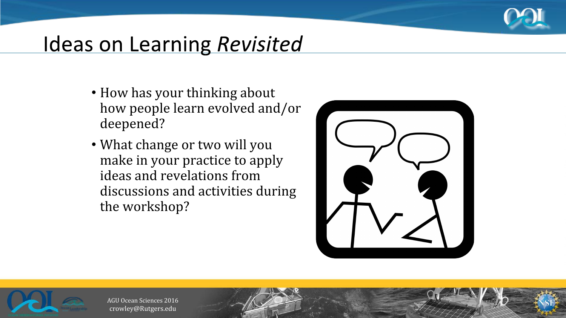

#### Ideas on Learning Revisited

- How has your thinking about how people learn evolved and/or deepened?
- What change or two will you make in your practice to apply ideas and revelations from discussions and activities during the workshop?